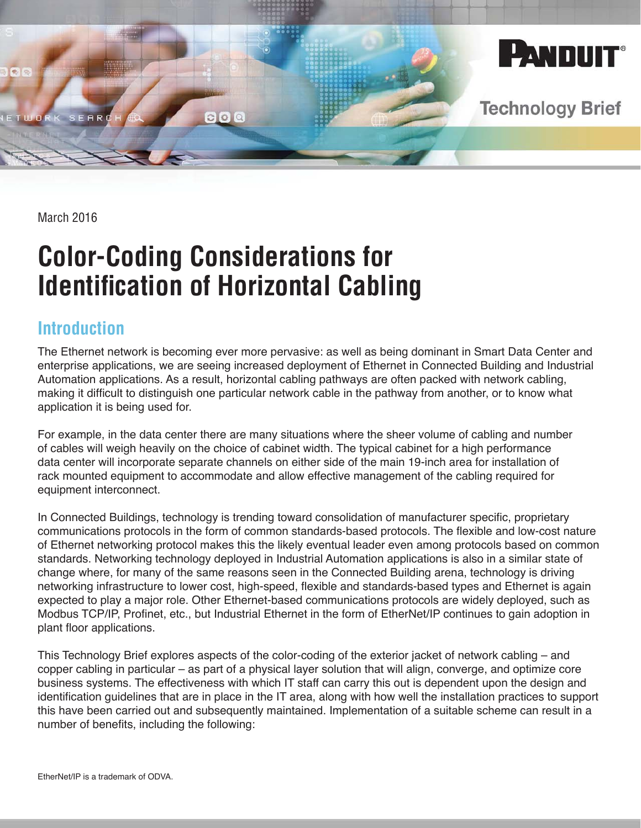

March 2016

# **Color-Coding Considerations for Identification of Horizontal Cabling**

### **Introduction**

The Ethernet network is becoming ever more pervasive: as well as being dominant in Smart Data Center and enterprise applications, we are seeing increased deployment of Ethernet in Connected Building and Industrial Automation applications. As a result, horizontal cabling pathways are often packed with network cabling, making it difficult to distinguish one particular network cable in the pathway from another, or to know what application it is being used for.

For example, in the data center there are many situations where the sheer volume of cabling and number of cables will weigh heavily on the choice of cabinet width. The typical cabinet for a high performance data center will incorporate separate channels on either side of the main 19-inch area for installation of rack mounted equipment to accommodate and allow effective management of the cabling required for equipment interconnect.

In Connected Buildings, technology is trending toward consolidation of manufacturer specific, proprietary communications protocols in the form of common standards-based protocols. The flexible and low-cost nature of Ethernet networking protocol makes this the likely eventual leader even among protocols based on common standards. Networking technology deployed in Industrial Automation applications is also in a similar state of change where, for many of the same reasons seen in the Connected Building arena, technology is driving networking infrastructure to lower cost, high-speed, flexible and standards-based types and Ethernet is again expected to play a major role. Other Ethernet-based communications protocols are widely deployed, such as Modbus TCP/IP, Profinet, etc., but Industrial Ethernet in the form of EtherNet/IP continues to gain adoption in plant floor applications.

This Technology Brief explores aspects of the color-coding of the exterior jacket of network cabling – and copper cabling in particular – as part of a physical layer solution that will align, converge, and optimize core business systems. The effectiveness with which IT staff can carry this out is dependent upon the design and identification guidelines that are in place in the IT area, along with how well the installation practices to support this have been carried out and subsequently maintained. Implementation of a suitable scheme can result in a number of benefits, including the following: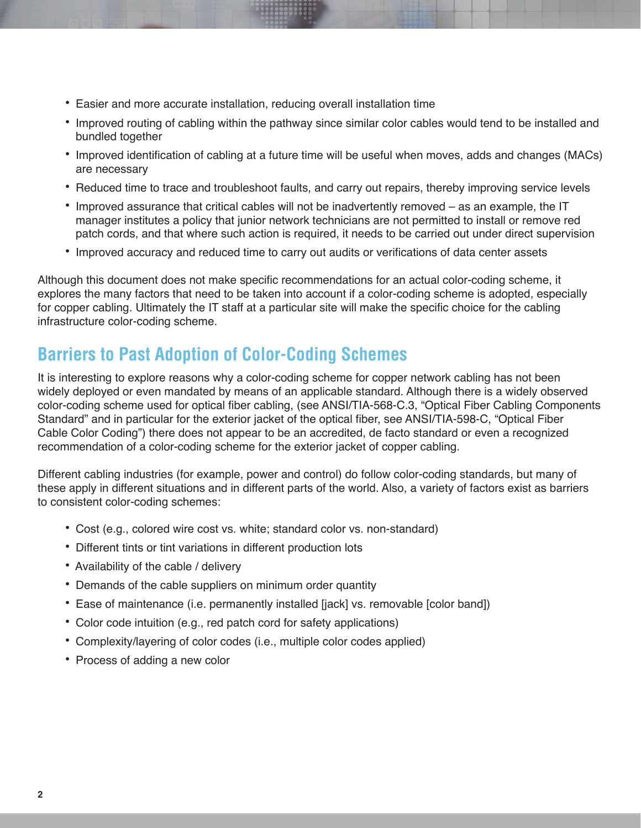- Easier and more accurate installation, reducing overall installation time
- Improved routing of cabling within the pathway since similar color cables would tend to be installed and bundled together
- Improved identification of cabling at a future time will be useful when moves, adds and changes (MACs) are necessary
- Reduced time to trace and troubleshoot faults, and carry out repairs, thereby improving service levels
- Improved assurance that critical cables will not be inadvertently removed as an example, the IT manager institutes a policy that junior network technicians are not permitted to install or remove red patch cords, and that where such action is required, it needs to be carried out under direct supervision
- Improved accuracy and reduced time to carry out audits or verifications of data center assets

Although this document does not make specific recommendations for an actual color-coding scheme, it explores the many factors that need to be taken into account if a color-coding scheme is adopted, especially for copper cabling. Ultimately the IT staff at a particular site will make the specific choice for the cabling infrastructure color-coding scheme.

## **Barriers to Past Adoption of Color-Coding Schemes**

It is interesting to explore reasons why a color-coding scheme for copper network cabling has not been widely deployed or even mandated by means of an applicable standard. Although there is a widely observed color-coding scheme used for optical fiber cabling, (see ANSI/TIA-568-C.3, "Optical Fiber Cabling Components Standard" and in particular for the exterior jacket of the optical fiber, see ANSI/TIA-598-C, "Optical Fiber Cable Color Coding") there does not appear to be an accredited, de facto standard or even a recognized recommendation of a color-coding scheme for the exterior jacket of copper cabling.

Different cabling industries (for example, power and control) do follow color-coding standards, but many of these apply in different situations and in different parts of the world. Also, a variety of factors exist as barriers to consistent color-coding schemes:

- Cost (e.g., colored wire cost vs. white; standard color vs. non-standard)
- Different tints or tint variations in different production lots
- Availability of the cable / delivery
- Demands of the cable suppliers on minimum order quantity
- Ease of maintenance (i.e. permanently installed [jack] vs. removable [color band])
- Color code intuition (e.g., red patch cord for safety applications)
- Complexity/layering of color codes (i.e., multiple color codes applied)
- Process of adding a new color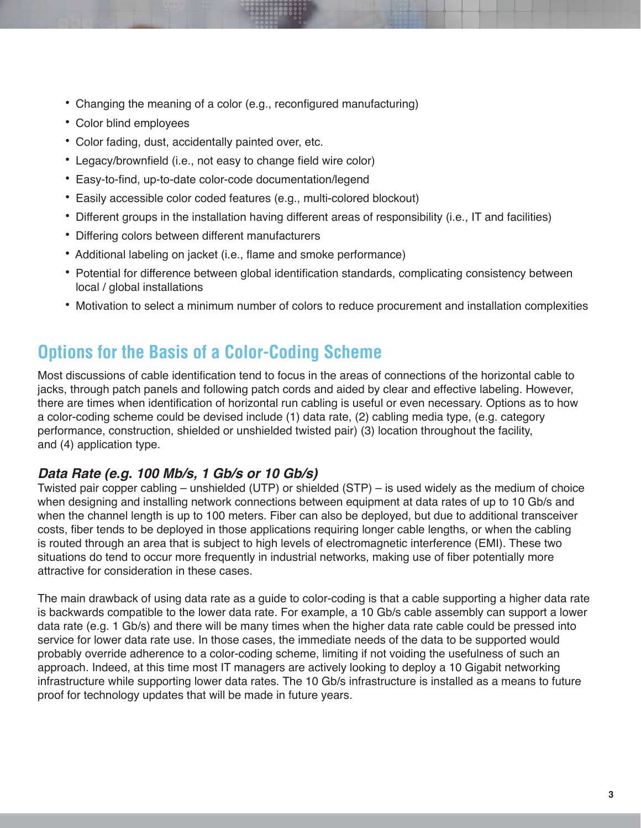- Changing the meaning of a color (e.g., reconfigured manufacturing)
- Color blind employees
- Color fading, dust, accidentally painted over, etc.
- Legacy/brownfield (i.e., not easy to change field wire color)
- Easy-to-find, up-to-date color-code documentation/legend
- Easily accessible color coded features (e.g., multi-colored blockout)
- Different groups in the installation having different areas of responsibility (i.e., IT and facilities)
- Differing colors between different manufacturers
- Additional labeling on jacket (i.e., flame and smoke performance)
- Potential for difference between global identification standards, complicating consistency between local / global installations
- Motivation to select a minimum number of colors to reduce procurement and installation complexities

### **2Duble on Show The Basis of a Color-Coding Scheme**

Most discussions of cable identification tend to focus in the areas of connections of the horizontal cable to jacks, through patch panels and following patch cords and aided by clear and effective labeling. However, there are times when identification of horizontal run cabling is useful or even necessary. Options as to how a color-coding scheme could be devised include (1) data rate, (2) cabling media type, (e.g. category performance, construction, shielded or unshielded twisted pair) (3) location throughout the facility, and (4) application type.

#### *Data Rate (e.g. 100 Mb/s, 1 Gb/s or 10 Gb/s)*

Twisted pair copper cabling – unshielded (UTP) or shielded (STP) – is used widely as the medium of choice when designing and installing network connections between equipment at data rates of up to 10 Gb/s and when the channel length is up to 100 meters. Fiber can also be deployed, but due to additional transceiver costs, fiber tends to be deployed in those applications requiring longer cable lengths, or when the cabling is routed through an area that is subject to high levels of electromagnetic interference (EMI). These two situations do tend to occur more frequently in industrial networks, making use of fiber potentially more attractive for consideration in these cases.

The main drawback of using data rate as a guide to color-coding is that a cable supporting a higher data rate is backwards compatible to the lower data rate. For example, a 10 Gb/s cable assembly can support a lower data rate (e.g. 1 Gb/s) and there will be many times when the higher data rate cable could be pressed into service for lower data rate use. In those cases, the immediate needs of the data to be supported would probably override adherence to a color-coding scheme, limiting if not voiding the usefulness of such an approach. Indeed, at this time most IT managers are actively looking to deploy a 10 Gigabit networking infrastructure while supporting lower data rates. The 10 Gb/s infrastructure is installed as a means to future proof for technology updates that will be made in future years.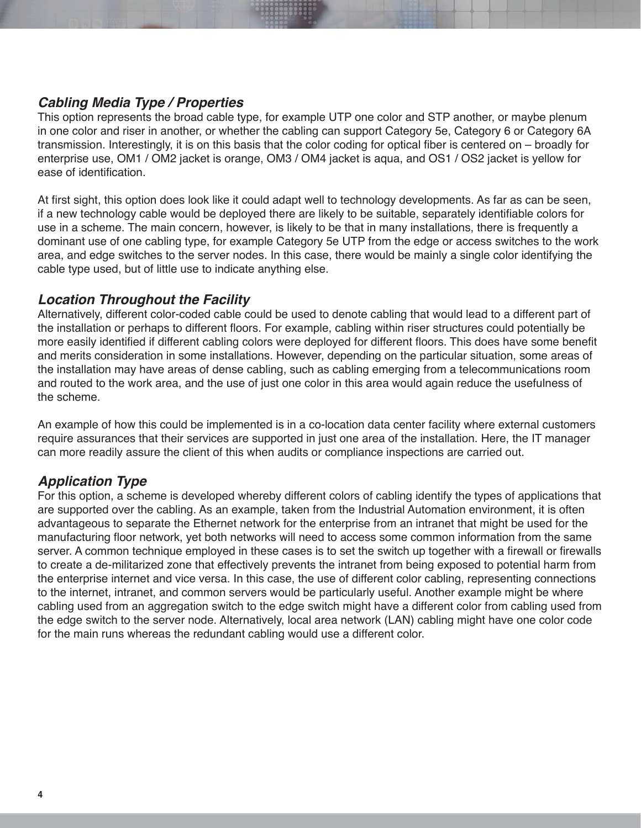#### *Cabling Media Type / Properties*

This option represents the broad cable type, for example UTP one color and STP another, or maybe plenum in one color and riser in another, or whether the cabling can support Category 5e, Category 6 or Category 6A transmission. Interestingly, it is on this basis that the color coding for optical fiber is centered on – broadly for enterprise use, OM1 / OM2 jacket is orange, OM3 / OM4 jacket is aqua, and OS1 / OS2 jacket is yellow for ease of identification.

At first sight, this option does look like it could adapt well to technology developments. As far as can be seen, If a new technology cable would be deployed there are likely to be suitable, separately identifiable colors for use in a scheme. The main concern, however, is likely to be that in many installations, there is frequently a dominant use of one cabling type, for example Category 5e UTP from the edge or access switches to the work area, and edge switches to the server nodes. In this case, there would be mainly a single color identifying the cable type used, but of little use to indicate anything else.

#### *Location Throughout the Facility*

Alternatively, different color-coded cable could be used to denote cabling that would lead to a different part of the installation or perhaps to different floors. For example, cabling within riser structures could potentially be more easily identified if different cabling colors were deployed for different floors. This does have some benefit and merits consideration in some installations. However, depending on the particular situation, some areas of the installation may have areas of dense cabling, such as cabling emerging from a telecommunications room and routed to the work area, and the use of just one color in this area would again reduce the usefulness of the scheme.

An example of how this could be implemented is in a co-location data center facility where external customers require assurances that their services are supported in just one area of the installation. Here, the IT manager can more readily assure the client of this when audits or compliance inspections are carried out.

#### *Application Type*

For this option, a scheme is developed whereby different colors of cabling identify the types of applications that are supported over the cabling. As an example, taken from the Industrial Automation environment, it is often advantageous to separate the Ethernet network for the enterprise from an intranet that might be used for the manufacturing floor network, yet both networks will need to access some common information from the same server. A common technique employed in these cases is to set the switch up together with a firewall or firewalls to create a de-militarized zone that effectively prevents the intranet from being exposed to potential harm from the enterprise internet and vice versa. In this case, the use of different color cabling, representing connections to the internet, intranet, and common servers would be particularly useful. Another example might be where cabling used from an aggregation switch to the edge switch might have a different color from cabling used from the edge switch to the server node. Alternatively, local area network (LAN) cabling might have one color code for the main runs whereas the redundant cabling would use a different color.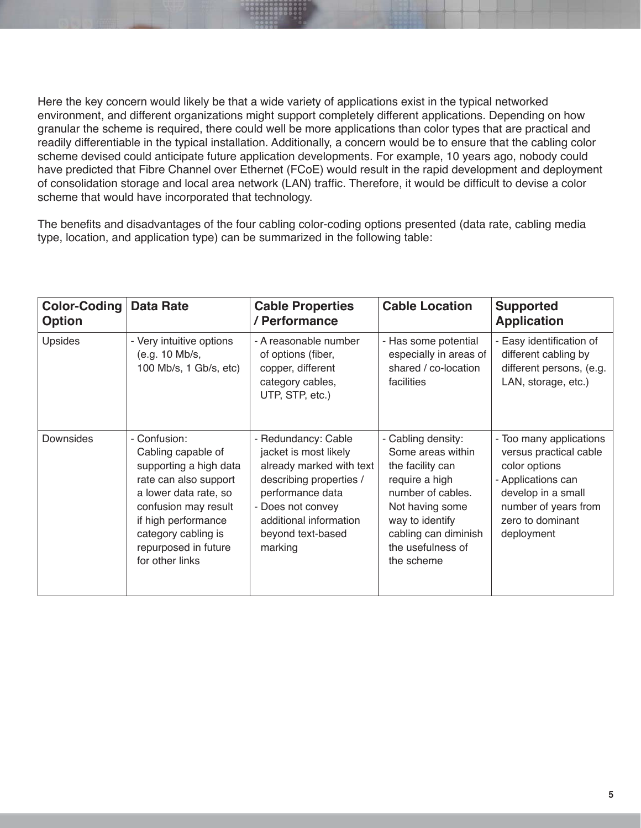Here the key concern would likely be that a wide variety of applications exist in the typical networked environment, and different organizations might support completely different applications. Depending on how granular the scheme is required, there could well be more applications than color types that are practical and readily differentiable in the typical installation. Additionally, a concern would be to ensure that the cabling color scheme devised could anticipate future application developments. For example, 10 years ago, nobody could have predicted that Fibre Channel over Ethernet (FCoE) would result in the rapid development and deployment of consolidation storage and local area network (LAN) traffic. Therefore, it would be difficult to devise a color scheme that would have incorporated that technology.

The benefits and disadvantages of the four cabling color-coding options presented (data rate, cabling media type, location, and application type) can be summarized in the following table:

| <b>Color-Coding</b><br><b>Option</b> | <b>Data Rate</b>                                                                                                                                                                                                                | <b>Cable Properties</b><br>/ Performance                                                                                                                                                               | <b>Cable Location</b>                                                                                                                                                                               | <b>Supported</b><br><b>Application</b>                                                                                                                                   |
|--------------------------------------|---------------------------------------------------------------------------------------------------------------------------------------------------------------------------------------------------------------------------------|--------------------------------------------------------------------------------------------------------------------------------------------------------------------------------------------------------|-----------------------------------------------------------------------------------------------------------------------------------------------------------------------------------------------------|--------------------------------------------------------------------------------------------------------------------------------------------------------------------------|
| Upsides                              | - Very intuitive options<br>(e.g. 10 Mb/s,<br>100 Mb/s, 1 Gb/s, etc)                                                                                                                                                            | - A reasonable number<br>of options (fiber,<br>copper, different<br>category cables,<br>UTP, STP, etc.)                                                                                                | - Has some potential<br>especially in areas of<br>shared / co-location<br>facilities                                                                                                                | - Easy identification of<br>different cabling by<br>different persons, (e.g.<br>LAN, storage, etc.)                                                                      |
| Downsides                            | - Confusion:<br>Cabling capable of<br>supporting a high data<br>rate can also support<br>a lower data rate, so<br>confusion may result<br>if high performance<br>category cabling is<br>repurposed in future<br>for other links | - Redundancy: Cable<br>jacket is most likely<br>already marked with text<br>describing properties /<br>performance data<br>- Does not convey<br>additional information<br>beyond text-based<br>marking | - Cabling density:<br>Some areas within<br>the facility can<br>require a high<br>number of cables.<br>Not having some<br>way to identify<br>cabling can diminish<br>the usefulness of<br>the scheme | - Too many applications<br>versus practical cable<br>color options<br>- Applications can<br>develop in a small<br>number of years from<br>zero to dominant<br>deployment |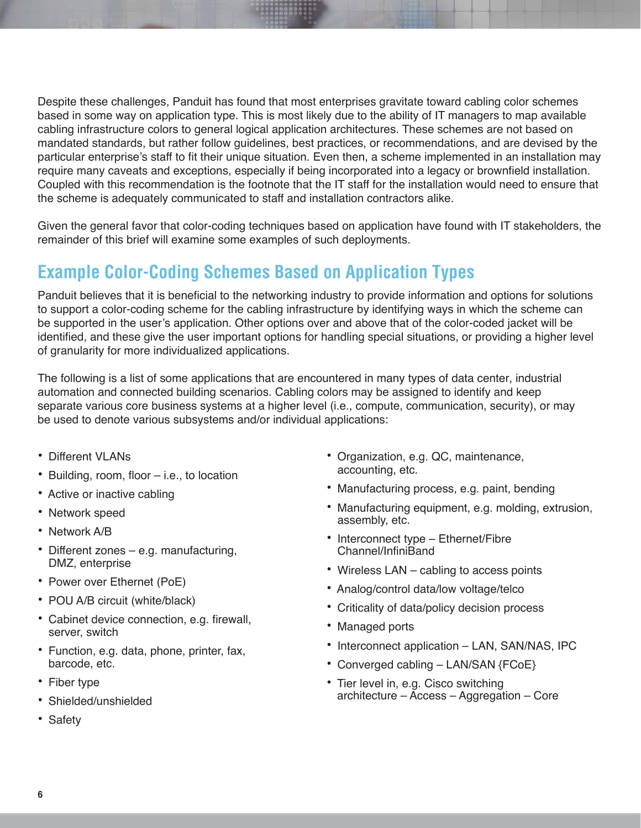Despite these challenges, Panduit has found that most enterprises gravitate toward cabling color schemes based in some way on application type. This is most likely due to the ability of IT managers to map available cabling infrastructure colors to general logical application architectures. These schemes are not based on mandated standards, but rather follow guidelines, best practices, or recommendations, and are devised by the particular enterprise's staff to fit their unique situation. Even then, a scheme implemented in an installation may require many caveats and exceptions, especially if being incorporated into a legacy or brownfield installation. Coupled with this recommendation is the footnote that the IT staff for the installation would need to ensure that the scheme is adequately communicated to staff and installation contractors alike.

Given the general favor that color-coding techniques based on application have found with IT stakeholders, the remainder of this brief will examine some examples of such deployments.

### **Example Color-Coding Schemes Based on Application Types**

Panduit believes that it is beneficial to the networking industry to provide information and options for solutions to support a color-coding scheme for the cabling infrastructure by identifying ways in which the scheme can be supported in the user's application. Other options over and above that of the color-coded jacket will be identified, and these give the user important options for handling special situations, or providing a higher level of granularity for more individualized applications.

The following is a list of some applications that are encountered in many types of data center, industrial automation and connected building scenarios. Cabling colors may be assigned to identify and keep separate various core business systems at a higher level (i.e., compute, communication, security), or may be used to denote various subsystems and/or individual applications:

- Different VI ANs
- Building, room, floor i.e., to location
- Active or inactive cabling
- Network speed
- Network A/B
- Different zones e.g. manufacturing, DMZ, enterprise
- Power over Ethernet (PoE)
- POU A/B circuit (white/black)
- Cabinet device connection, e.g. firewall, server, switch
- Function, e.g. data, phone, printer, fax, barcode, etc.
- Fiber type
- Shielded/unshielded
- Safety
- Organization, e.g. QC, maintenance, accounting, etc.
- Manufacturing process, e.g. paint, bending
- Manufacturing equipment, e.g. molding, extrusion, assembly, etc.
- $\bullet$  Interconnect type Ethernet/Fibre Channel/InfiniBand
- Wireless LAN cabling to access points
- Analog/control data/low voltage/telco
- Criticality of data/policy decision process
- Managed ports
- Interconnect application LAN, SAN/NAS, IPC
- Converged cabling LAN/SAN {FCoE}
- Tier level in, e.g. Cisco switching architecture – Access – Aggregation – Core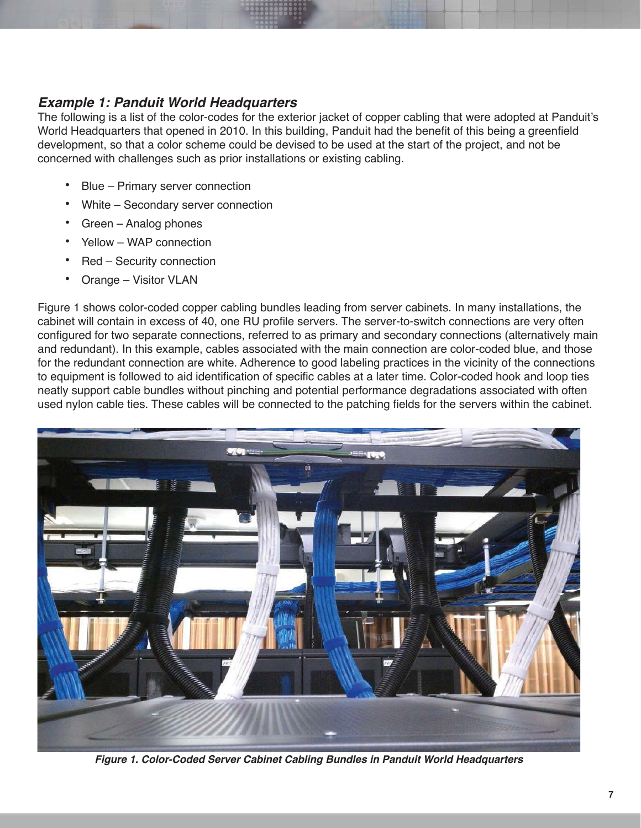#### *Example 1: Panduit World Headquarters*

The following is a list of the color-codes for the exterior jacket of copper cabling that were adopted at Panduit's World Headquarters that opened in 2010. In this building, Panduit had the benefit of this being a greenfield development, so that a color scheme could be devised to be used at the start of the project, and not be concerned with challenges such as prior installations or existing cabling.

- Blue Primary server connection
- White Secondary server connection
- Green Analog phones
- Yellow WAP connection
- Red Security connection
- Orange Visitor VLAN

Figure 1 shows color-coded copper cabling bundles leading from server cabinets. In many installations, the cabinet will contain in excess of 40, one RU profile servers. The server-to-switch connections are very often configured for two separate connections, referred to as primary and secondary connections (alternatively main and redundant). In this example, cables associated with the main connection are color-coded blue, and those for the redundant connection are white. Adherence to good labeling practices in the vicinity of the connections to equipment is followed to aid identification of specific cables at a later time. Color-coded hook and loop ties neatly support cable bundles without pinching and potential performance degradations associated with often used nylon cable ties. These cables will be connected to the patching fields for the servers within the cabinet.



*Figure 1. Color-Coded Server Cabinet Cabling Bundles in Panduit World Headquarters*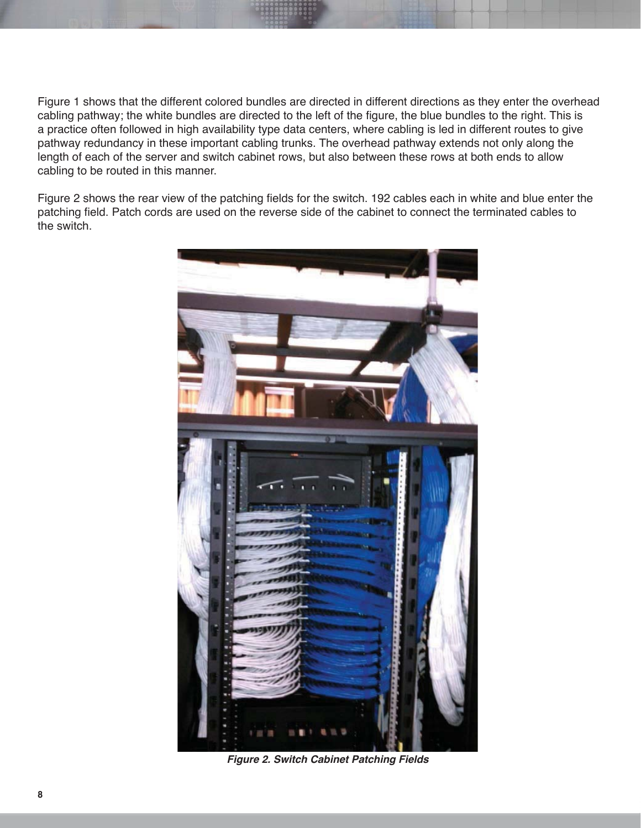Figure 1 shows that the different colored bundles are directed in different directions as they enter the overhead cabling pathway; the white bundles are directed to the left of the figure, the blue bundles to the right. This is a practice often followed in high availability type data centers, where cabling is led in different routes to give pathway redundancy in these important cabling trunks. The overhead pathway extends not only along the length of each of the server and switch cabinet rows, but also between these rows at both ends to allow cabling to be routed in this manner.

Figure 2 shows the rear view of the patching fields for the switch. 192 cables each in white and blue enter the patching field. Patch cords are used on the reverse side of the cabinet to connect the terminated cables to the switch.



*Figure 2. Switch Cabinet Patching Fields*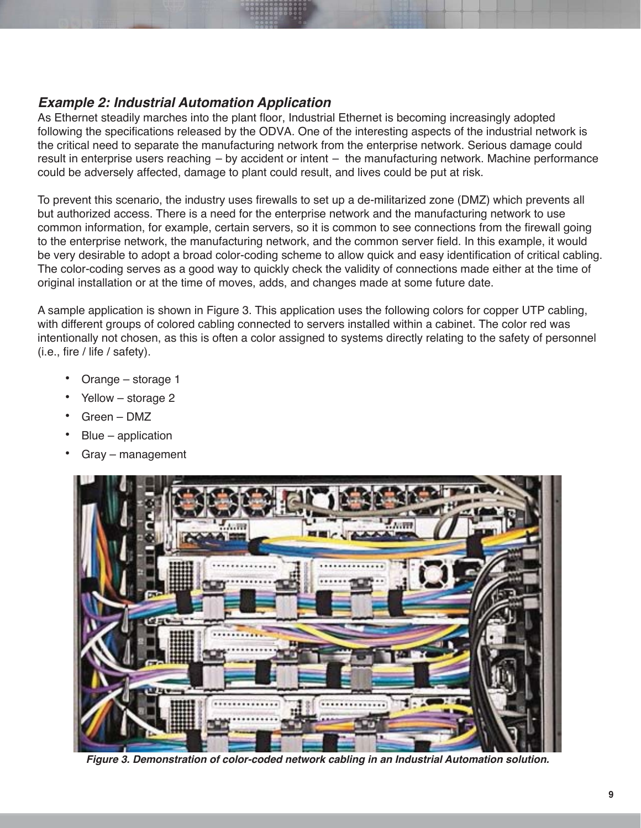#### *Example 2: Industrial Automation Application*

As Ethernet steadily marches into the plant floor, Industrial Ethernet is becoming increasingly adopted following the specifications released by the ODVA. One of the interesting aspects of the industrial network is the critical need to separate the manufacturing network from the enterprise network. Serious damage could result in enterprise users reaching  $-$  by accident or intent  $-$  the manufacturing network. Machine performance could be adversely affected, damage to plant could result, and lives could be put at risk.

To prevent this scenario, the industry uses firewalls to set up a de-militarized zone (DMZ) which prevents all but authorized access. There is a need for the enterprise network and the manufacturing network to use common information, for example, certain servers, so it is common to see connections from the firewall going to the enterprise network, the manufacturing network, and the common server field. In this example, it would be very desirable to adopt a broad color-coding scheme to allow quick and easy identification of critical cabling. The color-coding serves as a good way to quickly check the validity of connections made either at the time of original installation or at the time of moves, adds, and changes made at some future date.

A sample application is shown in Figure 3. This application uses the following colors for copper UTP cabling, with different groups of colored cabling connected to servers installed within a cabinet. The color red was intentionally not chosen, as this is often a color assigned to systems directly relating to the safety of personnel  $(i.e., fire / life / safety).$ 

- Orange storage 1
- Yellow storage 2
- Green DMZ
- Blue application
- Gray management



*Figure 3. Demonstration of color-coded network cabling in an Industrial Automation solution.*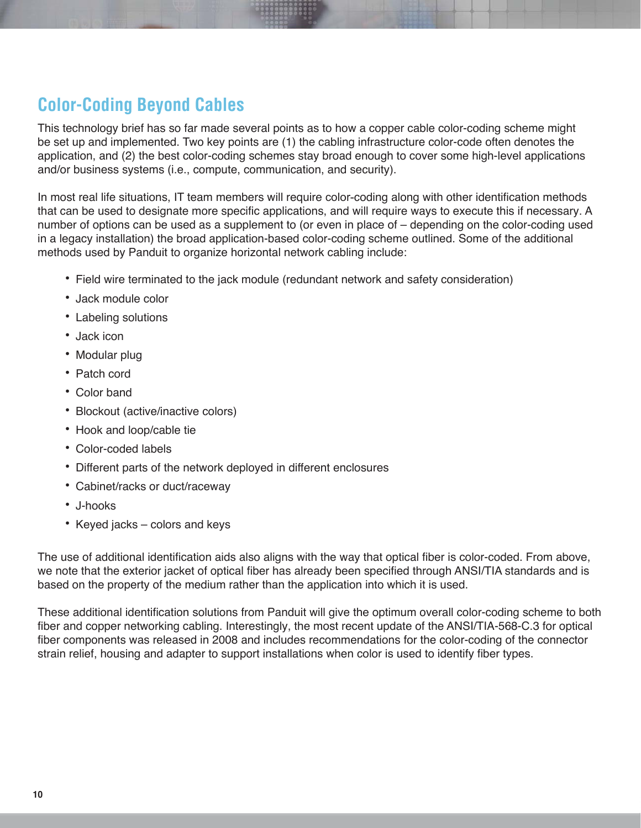# **Color-Coding Beyond Cables**

This technology brief has so far made several points as to how a copper cable color-coding scheme might be set up and implemented. Two key points are (1) the cabling infrastructure color-code often denotes the application, and (2) the best color-coding schemes stay broad enough to cover some high-level applications and/or business systems (i.e., compute, communication, and security).

In most real life situations, IT team members will require color-coding along with other identification methods that can be used to designate more specific applications, and will require ways to execute this if necessary. A number of options can be used as a supplement to (or even in place of  $-$  depending on the color-coding used in a legacy installation) the broad application-based color-coding scheme outlined. Some of the additional methods used by Panduit to organize horizontal network cabling include:

- Field wire terminated to the jack module (redundant network and safety consideration)
- Jack module color
- Labeling solutions
- Jack icon
- Modular plug
- Patch cord
- Color band
- Blockout (active/inactive colors)
- Hook and loop/cable tie
- Color-coded labels
- Different parts of the network deployed in different enclosures
- Cabinet/racks or duct/raceway
- J-hooks
- Keyed jacks colors and keys

The use of additional identification aids also aligns with the way that optical fiber is color-coded. From above, we note that the exterior jacket of optical fiber has already been specified through ANSI/TIA standards and is based on the property of the medium rather than the application into which it is used.

These additional identification solutions from Panduit will give the optimum overall color-coding scheme to both fiber and copper networking cabling. Interestingly, the most recent update of the ANSI/TIA-568-C.3 for optical fiber components was released in 2008 and includes recommendations for the color-coding of the connector strain relief, housing and adapter to support installations when color is used to identify fiber types.